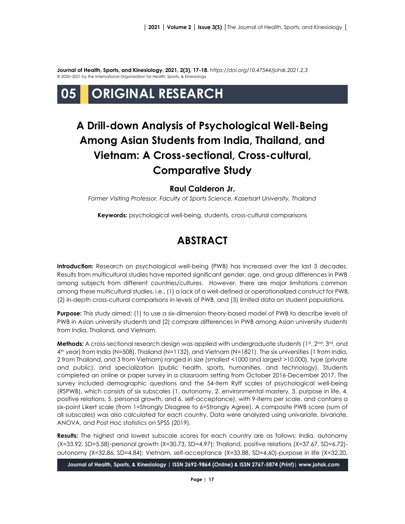**Journal of Health, Sports, and Kinesiology, 2021, 2(3), 17-18.** *<https://doi.org/10.47544/johsk.2021.2.3>* © 2020–2021 by the International Organization for Health, Sports, & Kinesiology

# **05 ORIGINAL RESEARCH**

## **A Drill-down Analysis of Psychological Well-Being Among Asian Students from India, Thailand, and Vietnam: A Cross-sectional, Cross-cultural, Comparative Study**

#### **Raul Calderon Jr.**

*Former Visiting Professor, Faculty of Sports Science, Kasetsart University, Thailand*

**Keywords:** psychological well-being, students, cross-cultural comparisons

## **ABSTRACT**

**Introduction:** Research on psychological well-being (PWB) has increased over the last 3 decades. Results from multicultural studies have reported significant gender, age, and group differences in PWB among subjects from different countries/cultures. However, there are major limitations common among these multicultural studies, i.e., (1) a lack of a well-defined or operationalized construct for PWB, (2) in-depth cross-cultural comparisons in levels of PWB, and (3) limited data on student populations.

**Purpose:** This study aimed: (1) to use a six-dimension theory-based model of PWB to describe levels of PWB in Asian university students and (2) compare differences in PWB among Asian university students from India, Thailand, and Vietnam.

**Methods:** A cross-sectional research design was applied with undergraduate students (1st, 2nd, 3rd, and 4 th year) from India (N=508), Thailand (N=1132), and Vietnam (N=1821). The six universities (1 from India, 2 from Thailand, and 3 from Vietnam) ranged in size (smallest <1000 and largest >10,000), type (private and public), and specialization (public health, sports, humanities, and technology). Students completed an online or paper survey in a classroom setting from October 2016-December 2017. The survey included demographic questions and the 54-item Ryff scales of psychological well-being (RSPWB), which consists of six subscales (1. autonomy, 2. environmental mastery, 3. purpose in life, 4. positive relations, 5. personal growth, and 6. self-acceptance), with 9-items per scale, and contains a six-point Likert scale (from 1=Strongly Disagree to 6=Strongly Agree). A composite PWB score (sum of all subscales) was also calculated for each country. Data were analyzed using univariate, bivariate, ANOVA, and Post Hoc statistics on SPSS (2019).

**Results:** The highest and lowest subscale scores for each country are as follows: India, autonomy (X=33.92, SD=5.58)-personal growth (X=30.73, SD=4.97); Thailand, positive relations (X=37.67, SD=6.72) autonomy (X=32.86, SD=4.84); Vietnam, self-acceptance (X=33.88, SD=4.60)-purpose in life (X=32.20,

**Journal of Health, Sports, & Kinesiology | ISSN 2692-9864 (***Online***) & ISSN 2767-5874 (***Print***)| www.johsk.com**